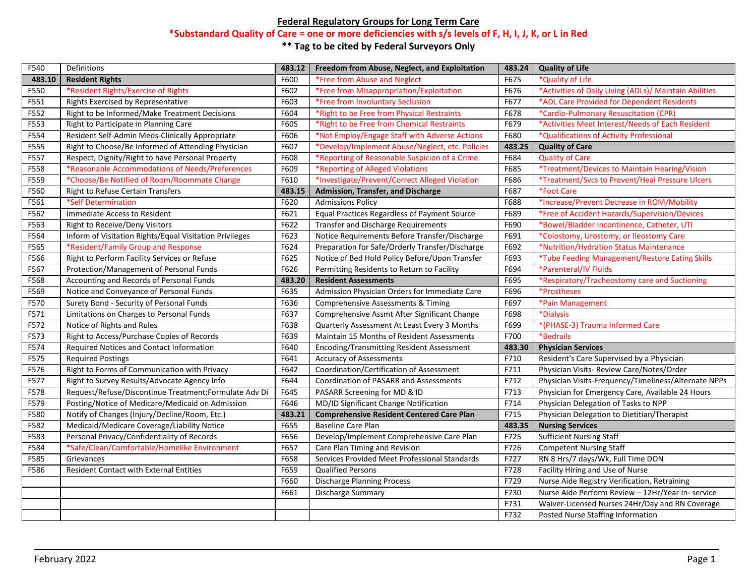## **Federal Regulatory Groups for Long Term Care**

## **\*Substandard Quality of Care = one or more deficiencies with s/s levels of F, H, I, J, K, or L in Red**

**\*\* Tag to be cited by Federal Surveyors Only**

| F540   | Definitions                                             | 483.12 | Freedom from Abuse, Neglect, and Exploitation       | 483.24 | <b>Quality of Life</b>                                 |
|--------|---------------------------------------------------------|--------|-----------------------------------------------------|--------|--------------------------------------------------------|
| 483.10 | <b>Resident Rights</b>                                  | F600   | *Free from Abuse and Neglect                        | F675   | *Quality of Life                                       |
| F550   | *Resident Rights/Exercise of Rights                     | F602   | *Free from Misappropriation/Exploitation            | F676   | *Activities of Daily Living (ADLs)/ Maintain Abilities |
| F551   | Rights Exercised by Representative                      | F603   | *Free from Involuntary Seclusion                    | F677   | *ADL Care Provided for Dependent Residents             |
| F552   | Right to be Informed/Make Treatment Decisions           | F604   | *Right to be Free from Physical Restraints          | F678   | *Cardio-Pulmonary Resuscitation (CPR)                  |
| F553   | Right to Participate in Planning Care                   | F605   | *Right to be Free from Chemical Restraints          | F679   | *Activities Meet Interest/Needs of Each Resident       |
| F554   | Resident Self-Admin Meds-Clinically Appropriate         | F606   | *Not Employ/Engage Staff with Adverse Actions       | F680   | *Qualifications of Activity Professional               |
| F555   | Right to Choose/Be Informed of Attending Physician      | F607   | *Develop/Implement Abuse/Neglect, etc. Policies     | 483.25 | <b>Quality of Care</b>                                 |
| F557   | Respect, Dignity/Right to have Personal Property        | F608   | *Reporting of Reasonable Suspicion of a Crime       | F684   | <b>Quality of Care</b>                                 |
| F558   | *Reasonable Accommodations of Needs/Preferences         | F609   | *Reporting of Alleged Violations                    | F685   | *Treatment/Devices to Maintain Hearing/Vision          |
| F559   | *Choose/Be Notified of Room/Roommate Change             | F610   | *Investigate/Prevent/Correct Alleged Violation      | F686   | *Treatment/Svcs to Prevent/Heal Pressure Ulcers        |
| F560   | Right to Refuse Certain Transfers                       | 483.15 | Admission, Transfer, and Discharge                  | F687   | <i><b>*Foot Care</b></i>                               |
| F561   | *Self Determination                                     | F620   | <b>Admissions Policy</b>                            | F688   | *Increase/Prevent Decrease in ROM/Mobility             |
| F562   | Immediate Access to Resident                            | F621   | <b>Equal Practices Regardless of Payment Source</b> | F689   | *Free of Accident Hazards/Supervision/Devices          |
| F563   | Right to Receive/Deny Visitors                          | F622   | <b>Transfer and Discharge Requirements</b>          | F690   | *Bowel/Bladder Incontinence, Catheter, UTI             |
| F564   | Inform of Visitation Rights/Equal Visitation Privileges | F623   | Notice Requirements Before Transfer/Discharge       | F691   | *Colostomy, Urostomy, or Ileostomy Care                |
| F565   | *Resident/Family Group and Response                     | F624   | Preparation for Safe/Orderly Transfer/Discharge     | F692   | *Nutrition/Hydration Status Maintenance                |
| F566   | Right to Perform Facility Services or Refuse            | F625   | Notice of Bed Hold Policy Before/Upon Transfer      | F693   | *Tube Feeding Management/Restore Eating Skills         |
| F567   | Protection/Management of Personal Funds                 | F626   | Permitting Residents to Return to Facility          | F694   | *Parenteral/IV Fluids                                  |
| F568   | Accounting and Records of Personal Funds                | 483.20 | <b>Resident Assessments</b>                         | F695   | *Respiratory/Tracheostomy care and Suctioning          |
| F569   | Notice and Conveyance of Personal Funds                 | F635   | Admission Physician Orders for Immediate Care       | F696   | *Prostheses                                            |
| F570   | Surety Bond - Security of Personal Funds                | F636   | Comprehensive Assessments & Timing                  | F697   | *Pain Management                                       |
| F571   | Limitations on Charges to Personal Funds                | F637   | Comprehensive Assmt After Significant Change        | F698   | *Dialysis                                              |
| F572   | Notice of Rights and Rules                              | F638   | Quarterly Assessment At Least Every 3 Months        | F699   | *{PHASE-3} Trauma Informed Care                        |
| F573   | Right to Access/Purchase Copies of Records              | F639   | Maintain 15 Months of Resident Assessments          | F700   | *Bedrails                                              |
| F574   | Required Notices and Contact Information                | F640   | Encoding/Transmitting Resident Assessment           | 483.30 | <b>Physician Services</b>                              |
| F575   | <b>Required Postings</b>                                | F641   | <b>Accuracy of Assessments</b>                      | F710   | Resident's Care Supervised by a Physician              |
| F576   | Right to Forms of Communication with Privacy            | F642   | Coordination/Certification of Assessment            | F711   | Physician Visits-Review Care/Notes/Order               |
| F577   | Right to Survey Results/Advocate Agency Info            | F644   | Coordination of PASARR and Assessments              | F712   | Physician Visits-Frequency/Timeliness/Alternate NPPs   |
| F578   | Request/Refuse/Discontinue Treatment;Formulate Adv Di   | F645   | PASARR Screening for MD & ID                        | F713   | Physician for Emergency Care, Available 24 Hours       |
| F579   | Posting/Notice of Medicare/Medicaid on Admission        | F646   | MD/ID Significant Change Notification               | F714   | Physician Delegation of Tasks to NPP                   |
| F580   | Notify of Changes (Injury/Decline/Room, Etc.)           | 483.21 | <b>Comprehensive Resident Centered Care Plan</b>    | F715   | Physician Delegation to Dietitian/Therapist            |
| F582   | Medicaid/Medicare Coverage/Liability Notice             | F655   | <b>Baseline Care Plan</b>                           | 483.35 | <b>Nursing Services</b>                                |
| F583   | Personal Privacy/Confidentiality of Records             | F656   | Develop/Implement Comprehensive Care Plan           | F725   | <b>Sufficient Nursing Staff</b>                        |
| F584   | *Safe/Clean/Comfortable/Homelike Environment            | F657   | Care Plan Timing and Revision                       | F726   | <b>Competent Nursing Staff</b>                         |
| F585   | Grievances                                              | F658   | Services Provided Meet Professional Standards       | F727   | RN 8 Hrs/7 days/Wk, Full Time DON                      |
| F586   | Resident Contact with External Entities                 | F659   | <b>Qualified Persons</b>                            | F728   | Facility Hiring and Use of Nurse                       |
|        |                                                         | F660   | <b>Discharge Planning Process</b>                   | F729   | Nurse Aide Registry Verification, Retraining           |
|        |                                                         | F661   | <b>Discharge Summary</b>                            | F730   | Nurse Aide Perform Review - 12Hr/Year In- service      |
|        |                                                         |        |                                                     | F731   | Waiver-Licensed Nurses 24Hr/Day and RN Coverage        |
|        |                                                         |        |                                                     | F732   | Posted Nurse Staffing Information                      |